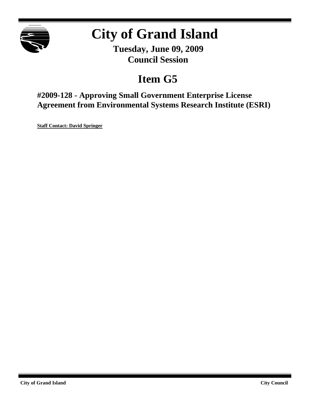

# **City of Grand Island**

**Tuesday, June 09, 2009 Council Session**

## **Item G5**

**#2009-128 - Approving Small Government Enterprise License Agreement from Environmental Systems Research Institute (ESRI)**

**Staff Contact: David Springer**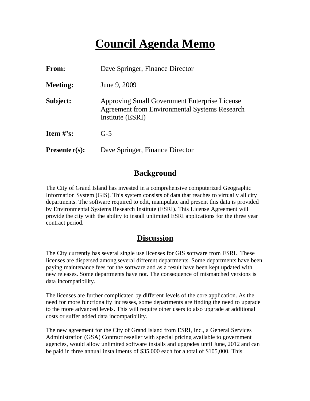### **Council Agenda Memo**

| From:           | Dave Springer, Finance Director                                                                                           |
|-----------------|---------------------------------------------------------------------------------------------------------------------------|
| <b>Meeting:</b> | June 9, 2009                                                                                                              |
| Subject:        | Approving Small Government Enterprise License<br><b>Agreement from Environmental Systems Research</b><br>Institute (ESRI) |
| Item $#$ 's:    | $G-5$                                                                                                                     |
| $Presenter(s):$ | Dave Springer, Finance Director                                                                                           |

#### **Background**

The City of Grand Island has invested in a comprehensive computerized Geographic Information System (GIS). This system consists of data that reaches to virtually all city departments. The software required to edit, manipulate and present this data is provided by Environmental Systems Research Institute (ESRI). This License Agreement will provide the city with the ability to install unlimited ESRI applications for the three year contract period.

#### **Discussion**

The City currently has several single use licenses for GIS software from ESRI. These licenses are dispersed among several different departments. Some departments have been paying maintenance fees for the software and as a result have been kept updated with new releases. Some departments have not. The consequence of mismatched versions is data incompatibility.

The licenses are further complicated by different levels of the core application. As the need for more functionality increases, some departments are finding the need to upgrade to the more advanced levels. This will require other users to also upgrade at additional costs or suffer added data incompatibility.

The new agreement for the City of Grand Island from ESRI, Inc., a General Services Administration (GSA) Contract reseller with special pricing available to government agencies, would allow unlimited software installs and upgrades until June, 2012 and can be paid in three annual installments of \$35,000 each for a total of \$105,000. This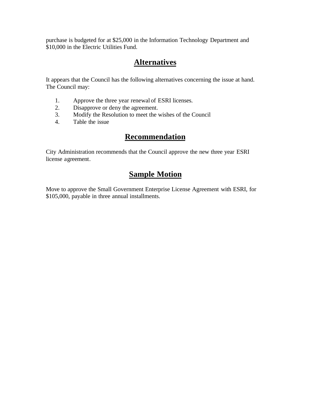purchase is budgeted for at \$25,000 in the Information Technology Department and \$10,000 in the Electric Utilities Fund.

#### **Alternatives**

It appears that the Council has the following alternatives concerning the issue at hand. The Council may:

- 1. Approve the three year renewal of ESRI licenses.
- 2. Disapprove or deny the agreement.<br>3. Modify the Resolution to meet the v
- 3. Modify the Resolution to meet the wishes of the Council
- 4. Table the issue

#### **Recommendation**

City Administration recommends that the Council approve the new three year ESRI license agreement.

### **Sample Motion**

Move to approve the Small Government Enterprise License Agreement with ESRI, for \$105,000, payable in three annual installments.